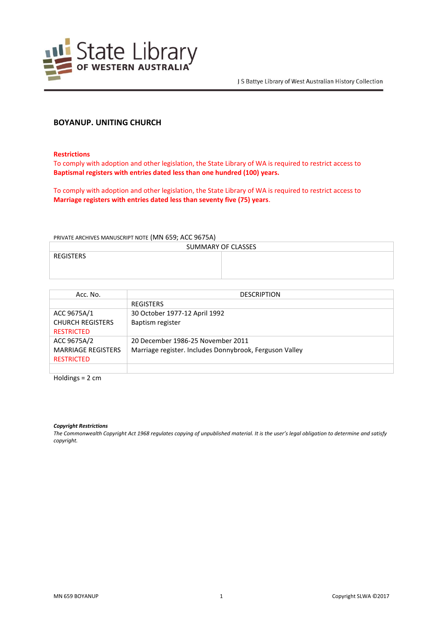

# **BOYANUP. UNITING CHURCH**

**Restrictions**

To comply with adoption and other legislation, the State Library of WA is required to restrict access to **Baptismal registers with entries dated less than one hundred (100) years.**

To comply with adoption and other legislation, the State Library of WA is required to restrict access to **Marriage registers with entries dated less than seventy five (75) years**.

PRIVATE ARCHIVES MANUSCRIPT NOTE (MN 659; ACC 9675A)

| SUMMARY OF CLASSES |  |
|--------------------|--|
| <b>REGISTERS</b>   |  |
|                    |  |
|                    |  |

| Acc. No.                  | <b>DESCRIPTION</b>                                      |
|---------------------------|---------------------------------------------------------|
|                           | <b>REGISTERS</b>                                        |
| ACC 9675A/1               | 30 October 1977-12 April 1992                           |
| <b>CHURCH REGISTERS</b>   | Baptism register                                        |
| <b>RESTRICTED</b>         |                                                         |
| ACC 9675A/2               | 20 December 1986-25 November 2011                       |
| <b>MARRIAGE REGISTERS</b> | Marriage register. Includes Donnybrook, Ferguson Valley |
| <b>RESTRICTED</b>         |                                                         |
|                           |                                                         |

Holdings = 2 cm

*Copyright Restrictions*

*The Commonwealth Copyright Act 1968 regulates copying of unpublished material. It is the user's legal obligation to determine and satisfy copyright.*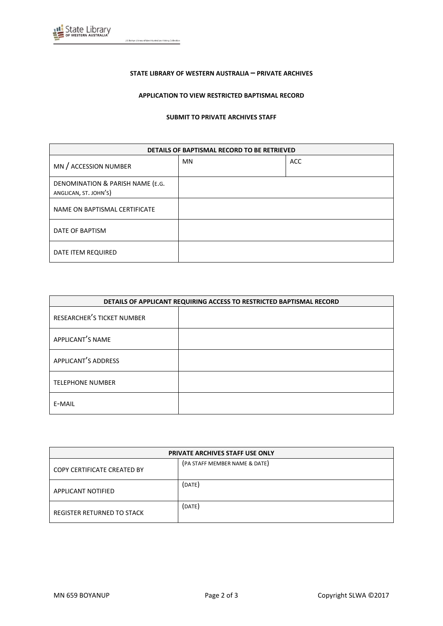

J S Battye Library of West Australian History Collection

### **STATE LIBRARY OF WESTERN AUSTRALIA – PRIVATE ARCHIVES**

## **APPLICATION TO VIEW RESTRICTED BAPTISMAL RECORD**

#### **SUBMIT TO PRIVATE ARCHIVES STAFF**

| DETAILS OF BAPTISMAL RECORD TO BE RETRIEVED               |           |            |
|-----------------------------------------------------------|-----------|------------|
| MN / ACCESSION NUMBER                                     | <b>MN</b> | <b>ACC</b> |
| DENOMINATION & PARISH NAME (E.G.<br>ANGLICAN, ST. JOHN'S) |           |            |
| NAME ON BAPTISMAL CERTIFICATE                             |           |            |
| DATE OF BAPTISM                                           |           |            |
| DATE ITEM REQUIRED                                        |           |            |

| DETAILS OF APPLICANT REQUIRING ACCESS TO RESTRICTED BAPTISMAL RECORD |  |
|----------------------------------------------------------------------|--|
| RESEARCHER'S TICKET NUMBER                                           |  |
| APPLICANT'S NAME                                                     |  |
| APPLICANT'S ADDRESS                                                  |  |
| <b>TELEPHONE NUMBER</b>                                              |  |
| E-MAIL                                                               |  |

| <b>PRIVATE ARCHIVES STAFF USE ONLY</b> |                               |
|----------------------------------------|-------------------------------|
| <b>COPY CERTIFICATE CREATED BY</b>     | (PA STAFF MEMBER NAME & DATE) |
| APPLICANT NOTIFIED                     | (DATE)                        |
| REGISTER RETURNED TO STACK             | (DATE)                        |